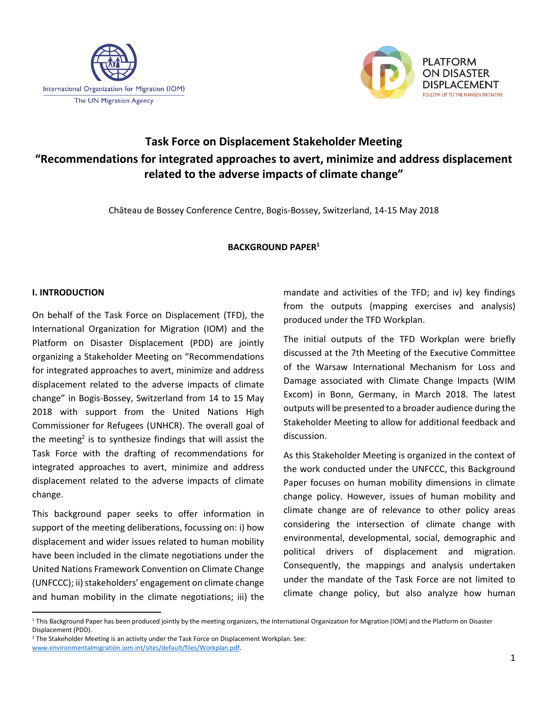



# **Task Force on Displacement Stakeholder Meeting "Recommendations for integrated approaches to avert, minimize and address displacement related to the adverse impacts of climate change"**

Château de Bossey Conference Centre, Bogis-Bossey, Switzerland, 14-15 May 2018

#### **BACKGROUND PAPER<sup>1</sup>**

## **I. INTRODUCTION**

 $\overline{\phantom{a}}$ 

On behalf of the Task Force on Displacement (TFD), the International Organization for Migration (IOM) and the Platform on Disaster Displacement (PDD) are jointly organizing a Stakeholder Meeting on "Recommendations for integrated approaches to avert, minimize and address displacement related to the adverse impacts of climate change" in Bogis-Bossey, Switzerland from 14 to 15 May 2018 with support from the United Nations High Commissioner for Refugees (UNHCR). The overall goal of the meeting<sup>2</sup> is to synthesize findings that will assist the Task Force with the drafting of recommendations for integrated approaches to avert, minimize and address displacement related to the adverse impacts of climate change.

This background paper seeks to offer information in support of the meeting deliberations, focussing on: i) how displacement and wider issues related to human mobility have been included in the climate negotiations under the United Nations Framework Convention on Climate Change (UNFCCC); ii) stakeholders' engagement on climate change and human mobility in the climate negotiations; iii) the mandate and activities of the TFD; and iv) key findings from the outputs (mapping exercises and analysis) produced under the TFD Workplan.

The initial outputs of the TFD Workplan were briefly discussed at the 7th Meeting of the Executive Committee of the Warsaw International Mechanism for Loss and Damage associated with Climate Change Impacts (WIM Excom) in Bonn, Germany, in March 2018. The latest outputs will be presented to a broader audience during the Stakeholder Meeting to allow for additional feedback and discussion.

As this Stakeholder Meeting is organized in the context of the work conducted under the UNFCCC, this Background Paper focuses on human mobility dimensions in climate change policy. However, issues of human mobility and climate change are of relevance to other policy areas considering the intersection of climate change with environmental, developmental, social, demographic and political drivers of displacement and migration. Consequently, the mappings and analysis undertaken under the mandate of the Task Force are not limited to climate change policy, but also analyze how human

<sup>&</sup>lt;sup>1</sup> This Background Paper has been produced jointly by the meeting organizers, the International Organization for Migration (IOM) and the Platform on Disaster Displacement (PDD).

<sup>&</sup>lt;sup>2</sup> The Stakeholder Meeting is an activity under the Task Force on Displacement Workplan. See: [www.environmentalmigration.iom.int/sites/default/files/Workplan.pdf.](http://www.environmentalmigration.iom.int/sites/default/files/Workplan.pdf)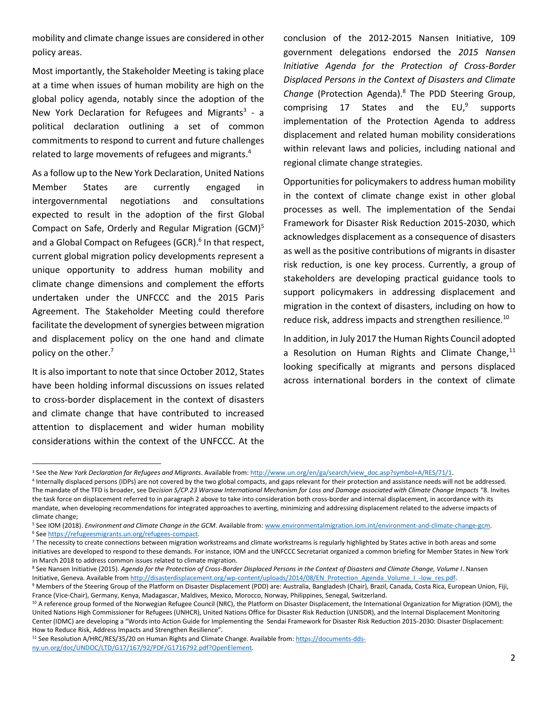mobility and climate change issues are considered in other policy areas.

Most importantly, the Stakeholder Meeting is taking place at a time when issues of human mobility are high on the global policy agenda, notably since the adoption of the New York Declaration for Refugees and Migrants<sup>3</sup> - a political declaration outlining a set of common commitments to respond to current and future challenges related to large movements of refugees and migrants. 4

As a follow up to the New York Declaration, United Nations Member States are currently engaged in intergovernmental negotiations and consultations expected to result in the adoption of the first Global Compact on Safe, Orderly and Regular Migration (GCM)<sup>5</sup> and a Global Compact on Refugees (GCR). 6 In that respect, current global migration policy developments represent a unique opportunity to address human mobility and climate change dimensions and complement the efforts undertaken under the UNFCCC and the 2015 Paris Agreement. The Stakeholder Meeting could therefore facilitate the development of synergies between migration and displacement policy on the one hand and climate policy on the other.<sup>7</sup>

It is also important to note that since October 2012, States have been holding informal discussions on issues related to cross-border displacement in the context of disasters and climate change that have contributed to increased attention to displacement and wider human mobility considerations within the context of the UNFCCC. At the

 $\overline{\phantom{a}}$ 

conclusion of the 2012-2015 Nansen Initiative, 109 government delegations endorsed the *2015 Nansen Initiative Agenda for the Protection of Cross-Border Displaced Persons in the Context of Disasters and Climate Change* (Protection Agenda).<sup>8</sup> The PDD Steering Group, comprising 17 States and the EU,<sup>9</sup> supports implementation of the Protection Agenda to address displacement and related human mobility considerations within relevant laws and policies, including national and regional climate change strategies.

Opportunities for policymakers to address human mobility in the context of climate change exist in other global processes as well. The implementation of the Sendai Framework for Disaster Risk Reduction 2015-2030, which acknowledges displacement as a consequence of disasters as well as the positive contributions of migrants in disaster risk reduction, is one key process. Currently, a group of stakeholders are developing practical guidance tools to support policymakers in addressing displacement and migration in the context of disasters, including on how to reduce risk, address impacts and strengthen resilience.<sup>10</sup>

In addition, in July 2017 the Human Rights Council adopted a Resolution on Human Rights and Climate Change, $^{11}$ looking specifically at migrants and persons displaced across international borders in the context of climate

8 See Nansen Initiative (2015). Agenda for the Protection of Cross-Border Displaced Persons in the Context of Disasters and Climate Change, Volume I. Nansen Initiative, Geneva. Available from [http://disasterdisplacement.org/wp-content/uploads/2014/08/EN\\_Protection\\_Agenda\\_Volume\\_I\\_-low\\_res.pdf.](http://disasterdisplacement.org/wp-content/uploads/2014/08/EN_Protection_Agenda_Volume_I_-low_res.pdf)

<sup>11</sup> See Resolution A/HRC/RES/35/20 on Human Rights and Climate Change. Available from[: https://documents-dds](https://documents-dds-ny.un.org/doc/UNDOC/LTD/G17/167/92/PDF/G1716792.pdf?OpenElement)[ny.un.org/doc/UNDOC/LTD/G17/167/92/PDF/G1716792.pdf?OpenElement.](https://documents-dds-ny.un.org/doc/UNDOC/LTD/G17/167/92/PDF/G1716792.pdf?OpenElement) 

<sup>&</sup>lt;sup>3</sup> See the *New York Declaration for Refugees and Migrants*. Available from[: http://www.un.org/en/ga/search/view\\_doc.asp?symbol=A/RES/71/1.](http://www.un.org/en/ga/search/view_doc.asp?symbol=A/RES/71/1)

<sup>4</sup> Internally displaced persons (IDPs) are not covered by the two global compacts, and gaps relevant for their protection and assistance needs will not be addressed. The mandate of the TFD is broader, see D*ecision 5/CP.23 Warsaw International Mechanism for Loss and Damage associated with Climate Change Impacts* "8. Invites the task force on displacement referred to in paragraph 2 above to take into consideration both cross-border and internal displacement, in accordance with its mandate, when developing recommendations for integrated approaches to averting, minimizing and addressing displacement related to the adverse impacts of climate change;

<sup>5</sup> See IOM (2018). *Environment and Climate Change in the GCM*. Available from[: www.environmentalmigration.iom.int/environment-and-climate-change-gcm.](http://www.environmentalmigration.iom.int/environment-and-climate-change-gcm)  <sup>6</sup> Se[e https://refugeesmigrants.un.org/refugees-compact.](https://refugeesmigrants.un.org/refugees-compact)

<sup>&</sup>lt;sup>7</sup> The necessity to create connections between migration workstreams and climate workstreams is regularly highlighted by States active in both areas and some initiatives are developed to respond to these demands. For instance, IOM and the UNFCCC Secretariat organized a common briefing for Member States in New York in March 2018 to address common issues related to climate migration.

<sup>9</sup> Members of the Steering Group of the Platform on Disaster Displacement (PDD) are: Australia, Bangladesh (Chair), Brazil, Canada, Costa Rica, European Union, Fiji, France (Vice-Chair), Germany, Kenya, Madagascar, Maldives, Mexico, Morocco, Norway, Philippines, Senegal, Switzerland.

<sup>&</sup>lt;sup>10</sup> A reference group formed of the Norwegian Refugee Council (NRC), the Platform on Disaster Displacement, the International Organization for Migration (IOM), the United Nations High Commissioner for Refugees (UNHCR), United Nations Office for Disaster Risk Reduction (UNISDR), and the Internal Displacement Monitoring Center (IDMC) are developing a "Words into Action Guide for Implementing the Sendai Framework for Disaster Risk Reduction 2015-2030: Disaster Displacement: How to Reduce Risk, Address Impacts and Strengthen Resilience".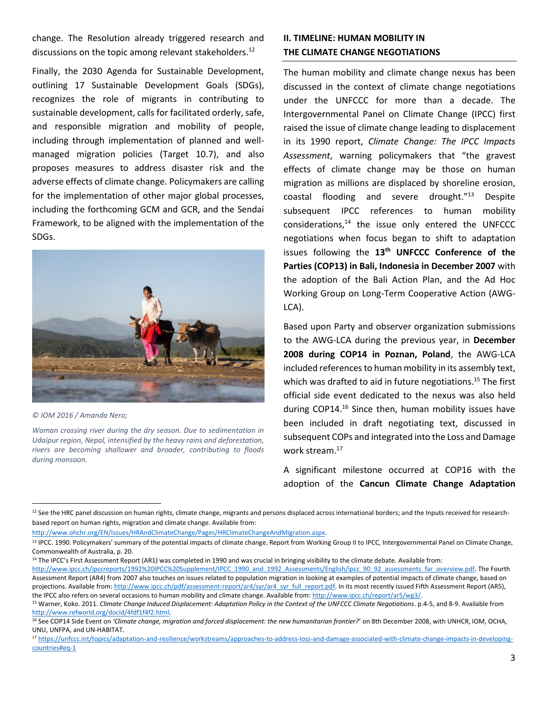change. The Resolution already triggered research and discussions on the topic among relevant stakeholders.<sup>12</sup>

Finally, the 2030 Agenda for Sustainable Development, outlining 17 Sustainable Development Goals (SDGs), recognizes the role of migrants in contributing to sustainable development, calls for facilitated orderly, safe, and responsible migration and mobility of people, including through implementation of planned and wellmanaged migration policies (Target 10.7), and also proposes measures to address disaster risk and the adverse effects of climate change. Policymakers are calling for the implementation of other major global processes, including the forthcoming GCM and GCR, and the Sendai Framework, to be aligned with the implementation of the SDGs.



*© IOM 2016 / Amanda Nero;*

 $\overline{\phantom{a}}$ 

*Woman crossing river during the dry season. Due to sedimentation in Udaipur region, Nepal, intensified by the heavy rains and deforestation, rivers are becoming shallower and broader, contributing to floods during monsoon.*

## **II. TIMELINE: HUMAN MOBILITY IN THE CLIMATE CHANGE NEGOTIATIONS**

The human mobility and climate change nexus has been discussed in the context of climate change negotiations under the UNFCCC for more than a decade. The Intergovernmental Panel on Climate Change (IPCC) first raised the issue of climate change leading to displacement in its 1990 report, *Climate Change: The IPCC Impacts Assessment*, warning policymakers that "the gravest effects of climate change may be those on human migration as millions are displaced by shoreline erosion, coastal flooding and severe drought."<sup>13</sup> Despite subsequent IPCC references to human mobility considerations, $14$  the issue only entered the UNFCCC negotiations when focus began to shift to adaptation issues following the **13th UNFCCC Conference of the Parties (COP13) in Bali, Indonesia in December 2007** with the adoption of the Bali Action Plan, and the Ad Hoc Working Group on Long-Term Cooperative Action (AWG-LCA).

Based upon Party and observer organization submissions to the AWG-LCA during the previous year, in **December 2008 during COP14 in Poznan, Poland**, the AWG-LCA included references to human mobility in its assembly text, which was drafted to aid in future negotiations.<sup>15</sup> The first official side event dedicated to the nexus was also held during COP14. <sup>16</sup> Since then, human mobility issues have been included in draft negotiating text, discussed in subsequent COPs and integrated into the Loss and Damage work stream. 17

A significant milestone occurred at COP16 with the adoption of the **Cancun Climate Change Adaptation**

<sup>12</sup> See the HRC panel discussion on human rights, climate change, migrants and persons displaced across international borders; and the Inputs received for researchbased report on human rights, migration and climate change. Available from:

<sup>14</sup> The IPCC's First Assessment Report (AR1) was completed in 1990 and was crucial in bringing visibility to the climate debate. Available from:

[http://www.ipcc.ch/ipccreports/1992%20IPCC%20Supplement/IPCC\\_1990\\_and\\_1992\\_Assessments/English/ipcc\\_90\\_92\\_assessments\\_far\\_overview.pdf.](http://www.ipcc.ch/ipccreports/1992%20IPCC%20Supplement/IPCC_1990_and_1992_Assessments/English/ipcc_90_92_assessments_far_overview.pdf) The Fourth Assessment Report (AR4) from 2007 also touches on issues related to population migration in looking at examples of potential impacts of climate change, based on projections. Available from[: http://www.ipcc.ch/pdf/assessment-report/ar4/syr/ar4\\_syr\\_full\\_report.pdf.](http://www.ipcc.ch/pdf/assessment-report/ar4/syr/ar4_syr_full_report.pdf) In its most recently issued Fifth Assessment Report (AR5), the IPCC also refers on several occasions to human mobility and climate change. Available from[: http://www.ipcc.ch/report/ar5/wg3/.](http://www.ipcc.ch/report/ar5/wg3/)

[http://www.ohchr.org/EN/Issues/HRAndClimateChange/Pages/HRClimateChangeAndMigration.aspx.](http://www.ohchr.org/EN/Issues/HRAndClimateChange/Pages/HRClimateChangeAndMigration.aspx) 

<sup>&</sup>lt;sup>13</sup> IPCC. 1990. Policymakers' summary of the potential impacts of climate change. Report from Working Group II to IPCC, Intergovernmental Panel on Climate Change, Commonwealth of Australia, p. 20.

<sup>15</sup> Warner, Koko. 2011. *Climate Change Induced Displacement: Adaptation Policy in the Context of the UNFCCC Climate Negotiations*. p.4-5, and 8-9. Available from [http://www.refworld.org/docid/4fdf1f4f2.html.](http://www.refworld.org/docid/4fdf1f4f2.html) 

<sup>16</sup> See COP14 Side Event on *'Climate change, migration and forced displacement: the new humanitarian frontier?*' on 8th December 2008, with UNHCR, IOM, OCHA, UNU, UNFPA, and UN-HABITAT.

<sup>17</sup> https://unfccc.int/topics/adaptation-and-resilience/workstreams/approaches-to-address-loss-and-damage-associated-with-climate-change-impacts-in-developingcountries#eq-1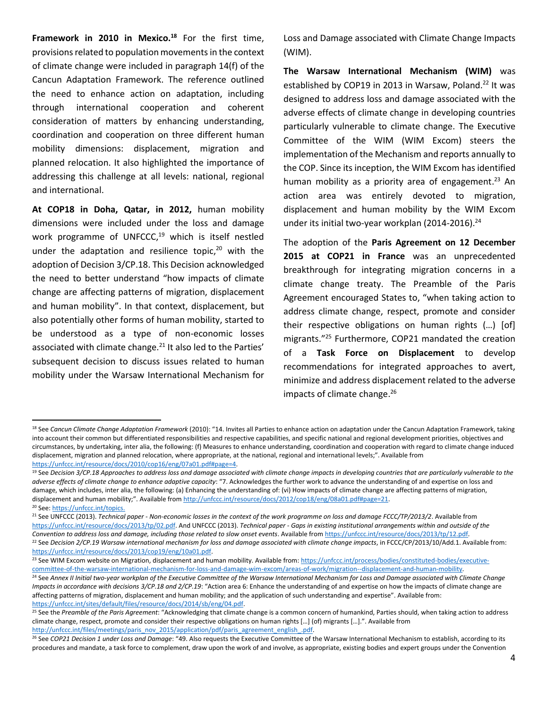**Framework in 2010 in Mexico.<sup>18</sup>** For the first time, provisions related to population movementsin the context of climate change were included in paragraph 14(f) of the Cancun Adaptation Framework. The reference outlined the need to enhance action on adaptation, including through international cooperation and coherent consideration of matters by enhancing understanding, coordination and cooperation on three different human mobility dimensions: displacement, migration and planned relocation. It also highlighted the importance of addressing this challenge at all levels: national, regional and international.

**At COP18 in Doha, Qatar, in 2012,** human mobility dimensions were included under the loss and damage work programme of UNFCCC, <sup>19</sup> which is itself nestled under the adaptation and resilience topic, <sup>20</sup> with the adoption of Decision 3/CP.18. This Decision acknowledged the need to better understand "how impacts of climate change are affecting patterns of migration, displacement and human mobility". In that context, displacement, but also potentially other forms of human mobility, started to be understood as a type of non-economic losses associated with climate change.<sup>21</sup> It also led to the Parties' subsequent decision to discuss issues related to human mobility under the Warsaw International Mechanism for

 $\overline{\phantom{a}}$ 

Loss and Damage associated with Climate Change Impacts (WIM).

**The Warsaw International Mechanism (WIM)** was established by COP19 in 2013 in Warsaw, Poland.<sup>22</sup> It was designed to address loss and damage associated with the adverse effects of climate change in developing countries particularly vulnerable to climate change. The Executive Committee of the WIM (WIM Excom) steers the implementation of the Mechanism and reports annually to the COP. Since its inception, the WIM Excom has identified human mobility as a priority area of engagement.<sup>23</sup> An action area was entirely devoted to migration, displacement and human mobility by the WIM Excom under its initial two-year workplan (2014-2016). 24

The adoption of the **Paris Agreement on 12 December 2015 at COP21 in France** was an unprecedented breakthrough for integrating migration concerns in a climate change treaty. The Preamble of the Paris Agreement encouraged States to, "when taking action to address climate change, respect, promote and consider their respective obligations on human rights (…) [of] migrants."<sup>25</sup> Furthermore, COP21 mandated the creation of a **Task Force on Displacement** to develop recommendations for integrated approaches to avert, minimize and address displacement related to the adverse impacts of climate change. 26

<sup>&</sup>lt;sup>18</sup> See Cancun Climate Change Adaptation Framework (2010): "14. Invites all Parties to enhance action on adaptation under the Cancun Adaptation Framework, taking into account their common but differentiated responsibilities and respective capabilities, and specific national and regional development priorities, objectives and circumstances, by undertaking, inter alia, the following: (f) Measures to enhance understanding, coordination and cooperation with regard to climate change induced displacement, migration and planned relocation, where appropriate, at the national, regional and international levels;". Available from [https://unfccc.int/resource/docs/2010/cop16/eng/07a01.pdf#page=4.](https://unfccc.int/resource/docs/2010/cop16/eng/07a01.pdf#page=4)

<sup>19</sup> See *Decision 3/CP.18 Approaches to address loss and damage associated with climate change impacts in developing countries that are particularly vulnerable to the adverse effects of climate change to enhance adaptive capacity*: "7. Acknowledges the further work to advance the understanding of and expertise on loss and damage, which includes, inter alia, the following: (a) Enhancing the understanding of: (vi) How impacts of climate change are affecting patterns of migration, displacement and human mobility;". Available from [http://unfccc.int/resource/docs/2012/cop18/eng/08a01.pdf#page=21.](http://unfccc.int/resource/docs/2012/cop18/eng/08a01.pdf#page=21) <sup>20</sup> See: https://unfccc.int/topics.

<sup>21</sup> See UNFCCC (2013). *Technical paper - Non-economic losses in the context of the work programme on loss and damage FCCC/TP/2013/2*. Available from [https://unfccc.int/resource/docs/2013/tp/02.pdf.](https://unfccc.int/resource/docs/2013/tp/02.pdf) And UNFCCC (2013). *Technical paper - Gaps in existing institutional arrangements within and outside of the Convention to address loss and damage, including those related to slow onset events*. Available fro[m https://unfccc.int/resource/docs/2013/tp/12.pdf.](https://unfccc.int/resource/docs/2013/tp/12.pdf) <sup>22</sup> See *Decision 2/CP.19 Warsaw international mechanism for loss and damage associated with climate change impacts, in FCCC/CP/2013/10/Add.1. Available from:* [https://unfccc.int/resource/docs/2013/cop19/eng/10a01.pdf.](https://unfccc.int/resource/docs/2013/cop19/eng/10a01.pdf)

<sup>&</sup>lt;sup>23</sup> See WIM Excom website on Migration, displacement and human mobility. Available from[: https://unfccc.int/process/bodies/constituted-bodies/executive](https://unfccc.int/process/bodies/constituted-bodies/executive-committee-of-the-warsaw-international-mechanism-for-loss-and-damage-wim-excom/areas-of-work/migration--displacement-and-human-mobility)[committee-of-the-warsaw-international-mechanism-for-loss-and-damage-wim-excom/areas-of-work/migration--displacement-and-human-mobility.](https://unfccc.int/process/bodies/constituted-bodies/executive-committee-of-the-warsaw-international-mechanism-for-loss-and-damage-wim-excom/areas-of-work/migration--displacement-and-human-mobility) 

<sup>&</sup>lt;sup>24</sup> See Annex II Initial two-year workplan of the Executive Committee of the Warsaw International Mechanism for Loss and Damage associated with Climate Change *Impacts in accordance with decisions 3/CP.18 and 2/CP.19*: "Action area 6: Enhance the understanding of and expertise on how the impacts of climate change are affecting patterns of migration, displacement and human mobility; and the application of such understanding and expertise". Available from: [https://unfccc.int/sites/default/files/resource/docs/2014/sb/eng/04.pdf.](https://unfccc.int/sites/default/files/resource/docs/2014/sb/eng/04.pdf)

<sup>25</sup> See the *Preamble of the Paris Agreement*: "Acknowledging that climate change is a common concern of humankind, Parties should, when taking action to address climate change, respect, promote and consider their respective obligations on human rights […] (of) migrants […].". Available from [http://unfccc.int/files/meetings/paris\\_nov\\_2015/application/pdf/paris\\_agreement\\_english\\_.pdf.](http://unfccc.int/files/meetings/paris_nov_2015/application/pdf/paris_agreement_english_.pdf)

<sup>26</sup> See *COP21 Decision 1 under Loss and Damage*: "49. Also requests the Executive Committee of the Warsaw International Mechanism to establish, according to its procedures and mandate, a task force to complement, draw upon the work of and involve, as appropriate, existing bodies and expert groups under the Convention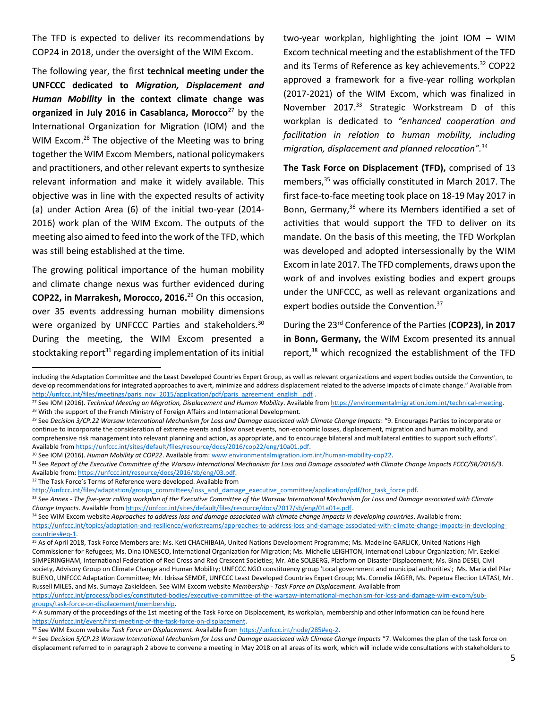The TFD is expected to deliver its recommendations by COP24 in 2018, under the oversight of the WIM Excom.

The following year, the first **technical meeting under the UNFCCC dedicated to** *Migration, Displacement and Human Mobility* **in the context climate change was organized in July 2016 in Casablanca, Morocco**<sup>27</sup> by the International Organization for Migration (IOM) and the WIM Excom.<sup>28</sup> The objective of the Meeting was to bring together the WIM Excom Members, national policymakers and practitioners, and other relevant experts to synthesize relevant information and make it widely available. This objective was in line with the expected results of activity (a) under Action Area (6) of the initial two-year (2014- 2016) work plan of the WIM Excom. The outputs of the meeting also aimed to feed into the work of the TFD, which was still being established at the time.

The growing political importance of the human mobility and climate change nexus was further evidenced during **COP22, in Marrakesh, Morocco, 2016.** <sup>29</sup> On this occasion, over 35 events addressing human mobility dimensions were organized by UNFCCC Parties and stakeholders.<sup>30</sup> During the meeting, the WIM Excom presented a stocktaking report $31$  regarding implementation of its initial two-year workplan, highlighting the joint IOM – WIM Excom technical meeting and the establishment of the TFD and its Terms of Reference as key achievements. <sup>32</sup> COP22 approved a framework for a five-year rolling workplan (2017-2021) of the WIM Excom, which was finalized in November 2017. <sup>33</sup> Strategic Workstream D of this workplan is dedicated to *"enhanced cooperation and facilitation in relation to human mobility, including migration, displacement and planned relocation".*<sup>34</sup>

**The Task Force on Displacement (TFD),** comprised of 13 members,<sup>35</sup> was officially constituted in March 2017. The first face-to-face meeting took place on 18-19 May 2017 in Bonn, Germany, <sup>36</sup> where its Members identified a set of activities that would support the TFD to deliver on its mandate. On the basis of this meeting, the TFD Workplan was developed and adopted intersessionally by the WIM Excom in late 2017. The TFD complements, draws upon the work of and involves existing bodies and expert groups under the UNFCCC, as well as relevant organizations and expert bodies outside the Convention.<sup>37</sup>

During the 23rd Conference of the Parties (**COP23), in 2017 in Bonn, Germany,** the WIM Excom presented its annual report,<sup>38</sup> which recognized the establishment of the TFD

<sup>32</sup> The Task Force's Terms of Reference were developed. Available from

 $\overline{\phantom{a}}$ 

[groups/task-force-on-displacement/membership.](https://unfccc.int/process/bodies/constituted-bodies/executive-committee-of-the-warsaw-international-mechanism-for-loss-and-damage-wim-excom/sub-groups/task-force-on-displacement/membership)

including the Adaptation Committee and the Least Developed Countries Expert Group, as well as relevant organizations and expert bodies outside the Convention, to develop recommendations for integrated approaches to avert, minimize and address displacement related to the adverse impacts of climate change." Available from [http://unfccc.int/files/meetings/paris\\_nov\\_2015/application/pdf/paris\\_agreement\\_english\\_.pdf](http://unfccc.int/files/meetings/paris_nov_2015/application/pdf/paris_agreement_english_.pdf) .

<sup>27</sup> See IOM (2016). *Technical Meeting on Migration, Displacement and Human Mobility*. Available from [https://environmentalmigration.iom.int/technical-meeting.](https://environmentalmigration.iom.int/technical-meeting) <sup>28</sup> With the support of the French Ministry of Foreign Affairs and International Development.

<sup>&</sup>lt;sup>29</sup> See *Decision 3/CP.22 Warsaw International Mechanism for Loss and Damage associated with Climate Change Impacts: "9. Encourages Parties to incorporate or* continue to incorporate the consideration of extreme events and slow onset events, non-economic losses, displacement, migration and human mobility, and comprehensive risk management into relevant planning and action, as appropriate, and to encourage bilateral and multilateral entities to support such efforts". Available fro[m https://unfccc.int/sites/default/files/resource/docs/2016/cop22/eng/10a01.pdf.](https://unfccc.int/sites/default/files/resource/docs/2016/cop22/eng/10a01.pdf) 

<sup>30</sup> See IOM (2016). *Human Mobility at COP22*. Available from[: www.environmentalmigration.iom.int/human-mobility-cop22.](http://www.environmentalmigration.iom.int/human-mobility-cop22)

<sup>31</sup> See *Report of the Executive Committee of the Warsaw International Mechanism for Loss and Damage associated with Climate Change Impacts FCCC/SB/2016/3*. Available from[: https://unfccc.int/resource/docs/2016/sb/eng/03.pdf.](https://unfccc.int/resource/docs/2016/sb/eng/03.pdf)

http://unfccc.int/files/adaptation/groups\_committees/loss\_and\_damage\_executive\_committee/application/pdf/tor\_task\_force.pdf.

<sup>33</sup> See *Annex - The five-year rolling workplan of the Executive Committee of the Warsaw International Mechanism for Loss and Damage associated with Climate Change Impacts*. Available from [https://unfccc.int/sites/default/files/resource/docs/2017/sb/eng/01a01e.pdf.](https://unfccc.int/sites/default/files/resource/docs/2017/sb/eng/01a01e.pdf) 

<sup>34</sup> See WIM Excom website *Approaches to address loss and damage associated with climate change impacts in developing countries*. Available from: [https://unfccc.int/topics/adaptation-and-resilience/workstreams/approaches-to-address-loss-and-damage-associated-with-climate-change-impacts-in-developing](https://unfccc.int/topics/adaptation-and-resilience/workstreams/approaches-to-address-loss-and-damage-associated-with-climate-change-impacts-in-developing-countries#eq-1)[countries#eq-1.](https://unfccc.int/topics/adaptation-and-resilience/workstreams/approaches-to-address-loss-and-damage-associated-with-climate-change-impacts-in-developing-countries#eq-1)

<sup>&</sup>lt;sup>35</sup> As of April 2018, Task Force Members are: Ms. Keti CHACHIBAIA, United Nations Development Programme; Ms. Madeline GARLICK, United Nations High Commissioner for Refugees; Ms. Dina IONESCO, International Organization for Migration; Ms. Michelle LEIGHTON, International Labour Organization; Mr. Ezekiel SIMPERINGHAM, International Federation of Red Cross and Red Crescent Societies; Mr. Atle SOLBERG, Platform on Disaster Displacement; Ms. Bina DESEI, Civil society, Advisory Group on Climate Change and Human Mobility; UNFCCC NGO constituency group 'Local government and municipal authorities'; Ms. Maria del Pilar BUENO, UNFCCC Adaptation Committee; Mr. Idrissa SEMDE, UNFCCC Least Developed Countries Expert Group; Ms. Cornelia JÄGER, Ms. Pepetua Election LATASI, Mr. Russell MILES, and Ms. Sumaya Zakieldeen. See WIM Excom website *Membership - Task Force on Displacement*. Available from [https://unfccc.int/process/bodies/constituted-bodies/executive-committee-of-the-warsaw-international-mechanism-for-loss-and-damage-wim-excom/sub-](https://unfccc.int/process/bodies/constituted-bodies/executive-committee-of-the-warsaw-international-mechanism-for-loss-and-damage-wim-excom/sub-groups/task-force-on-displacement/membership)

<sup>&</sup>lt;sup>36</sup> A summary of the proceedings of the 1st meeting of the Task Force on Displacement, its workplan, membership and other information can be found here [https://unfccc.int/event/first-meeting-of-the-task-force-on-displacement.](https://unfccc.int/event/first-meeting-of-the-task-force-on-displacement)

<sup>37</sup> See WIM Excom website *Task Force on Displacement*. Available fro[m https://unfccc.int/node/285#eq-2.](https://unfccc.int/node/285#eq-2)

<sup>&</sup>lt;sup>38</sup> See *Decision 5/CP.23 Warsaw International Mechanism for Loss and Damage associated with Climate Change Impacts "7. Welcomes the plan of the task force on* displacement referred to in paragraph 2 above to convene a meeting in May 2018 on all areas of its work, which will include wide consultations with stakeholders to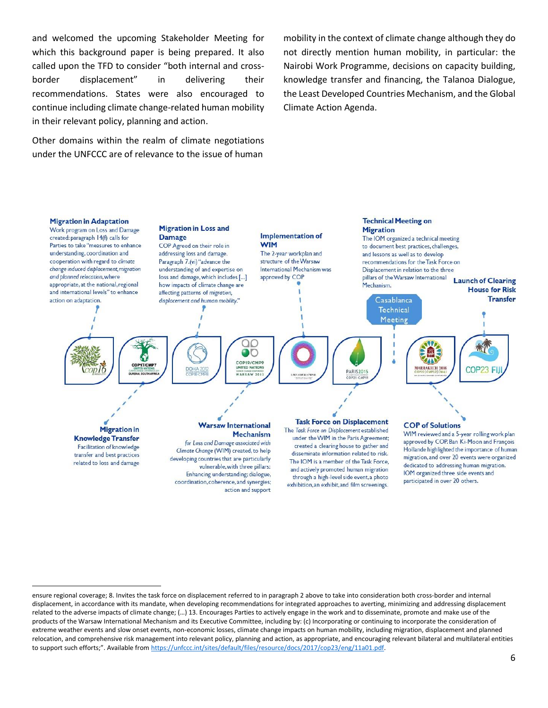and welcomed the upcoming Stakeholder Meeting for which this background paper is being prepared. It also called upon the TFD to consider "both internal and crossborder displacement" in delivering their recommendations. States were also encouraged to continue including climate change-related human mobility in their relevant policy, planning and action.

Other domains within the realm of climate negotiations under the UNFCCC are of relevance to the issue of human

 $\overline{\phantom{a}}$ 

mobility in the context of climate change although they do not directly mention human mobility, in particular: the Nairobi Work Programme, decisions on capacity building, knowledge transfer and financing, the Talanoa Dialogue, the Least Developed Countries Mechanism, and the Global Climate Action Agenda.



ensure regional coverage; 8. Invites the task force on displacement referred to in paragraph 2 above to take into consideration both cross-border and internal displacement, in accordance with its mandate, when developing recommendations for integrated approaches to averting, minimizing and addressing displacement related to the adverse impacts of climate change; (…) 13. Encourages Parties to actively engage in the work and to disseminate, promote and make use of the products of the Warsaw International Mechanism and its Executive Committee, including by: (c) Incorporating or continuing to incorporate the consideration of extreme weather events and slow onset events, non-economic losses, climate change impacts on human mobility, including migration, displacement and planned relocation, and comprehensive risk management into relevant policy, planning and action, as appropriate, and encouraging relevant bilateral and multilateral entities to support such efforts;". Available from [https://unfccc.int/sites/default/files/resource/docs/2017/cop23/eng/11a01.pdf.](https://unfccc.int/sites/default/files/resource/docs/2017/cop23/eng/11a01.pdf)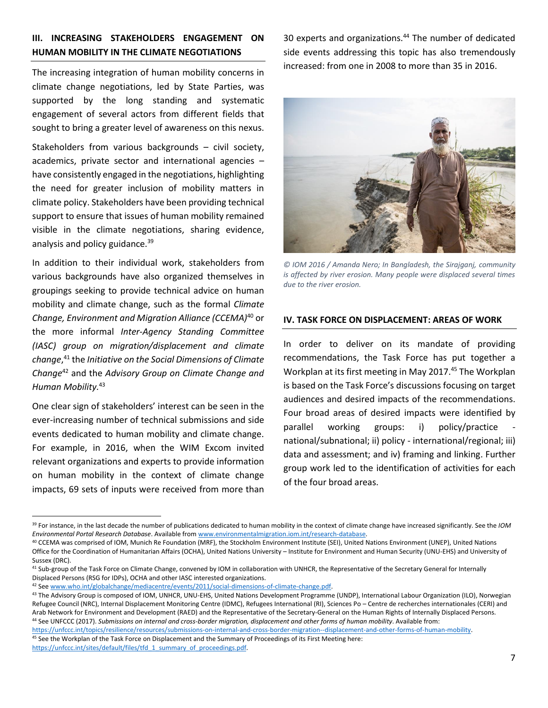## **III. INCREASING STAKEHOLDERS ENGAGEMENT ON HUMAN MOBILITY IN THE CLIMATE NEGOTIATIONS**

The increasing integration of human mobility concerns in climate change negotiations, led by State Parties, was supported by the long standing and systematic engagement of several actors from different fields that sought to bring a greater level of awareness on this nexus.

Stakeholders from various backgrounds – civil society, academics, private sector and international agencies – have consistently engaged in the negotiations, highlighting the need for greater inclusion of mobility matters in climate policy. Stakeholders have been providing technical support to ensure that issues of human mobility remained visible in the climate negotiations, sharing evidence, analysis and policy guidance.<sup>39</sup>

In addition to their individual work, stakeholders from various backgrounds have also organized themselves in groupings seeking to provide technical advice on human mobility and climate change, such as the formal *Climate Change, Environment and Migration Alliance (CCEMA)*<sup>40</sup> or the more informal *Inter-Agency Standing Committee (IASC) group on migration/displacement and climate change*, <sup>41</sup> the *Initiative on the Social Dimensions of Climate Change*<sup>42</sup> and the *Advisory Group on Climate Change and Human Mobility.*<sup>43</sup>

One clear sign of stakeholders' interest can be seen in the ever-increasing number of technical submissions and side events dedicated to human mobility and climate change. For example, in 2016, when the WIM Excom invited relevant organizations and experts to provide information on human mobility in the context of climate change impacts, 69 sets of inputs were received from more than

 $\overline{\phantom{a}}$ 

30 experts and organizations.<sup>44</sup> The number of dedicated side events addressing this topic has also tremendously increased: from one in 2008 to more than 35 in 2016.



*© IOM 2016 / Amanda Nero; In Bangladesh, the Sirajganj, community is affected by river erosion. Many people were displaced several times due to the river erosion.*

## **IV. TASK FORCE ON DISPLACEMENT: AREAS OF WORK**

In order to deliver on its mandate of providing recommendations, the Task Force has put together a Workplan at its first meeting in May 2017.<sup>45</sup> The Workplan is based on the Task Force's discussions focusing on target audiences and desired impacts of the recommendations. Four broad areas of desired impacts were identified by parallel working groups: i) policy/practice national/subnational; ii) policy - international/regional; iii) data and assessment; and iv) framing and linking. Further group work led to the identification of activities for each of the four broad areas.

[https://unfccc.int/topics/resilience/resources/submissions-on-internal-and-cross-border-migration--displacement-and-other-forms-of-human-mobility.](https://unfccc.int/topics/resilience/resources/submissions-on-internal-and-cross-border-migration--displacement-and-other-forms-of-human-mobility)  45 See the Workplan of the Task Force on Displacement and the Summary of Proceedings of its First Meeting here:

https://unfccc.int/sites/default/files/tfd\_1\_summary\_of\_proceedings.pdf.

<sup>39</sup> For instance, in the last decade the number of publications dedicated to human mobility in the context of climate change have increased significantly. See the *IOM Environmental Portal Research Database*. Available fro[m www.environmentalmigration.iom.int/research-database.](http://www.environmentalmigration.iom.int/research-database) 

<sup>40</sup> CCEMA was comprised of IOM, Munich Re Foundation (MRF), the Stockholm Environment Institute (SEI), United Nations Environment (UNEP), United Nations Office for the Coordination of Humanitarian Affairs (OCHA), United Nations University – Institute for Environment and Human Security (UNU-EHS) and University of Sussex (DRC).

<sup>41</sup> Sub-group of the Task Force on Climate Change, convened by IOM in collaboration with UNHCR, the Representative of the Secretary General for Internally Displaced Persons (RSG for IDPs), OCHA and other IASC interested organizations.

<sup>42</sup> Se[e www.who.int/globalchange/mediacentre/events/2011/social-dimensions-of-climate-change.pdf.](http://www.who.int/globalchange/mediacentre/events/2011/social-dimensions-of-climate-change.pdf)

<sup>&</sup>lt;sup>43</sup> The Advisory Group is composed of IOM, UNHCR, UNU-EHS, United Nations Development Programme (UNDP), International Labour Organization (ILO), Norwegian Refugee Council (NRC), Internal Displacement Monitoring Centre (IDMC), Refugees International (RI), Sciences Po – Centre de recherches internationales (CERI) and Arab Network for Environment and Development (RAED) and the Representative of the Secretary-General on the Human Rights of Internally Displaced Persons. <sup>44</sup> See UNFCCC (2017). *Submissions on internal and cross-border migration, displacement and other forms of human mobility*. Available from: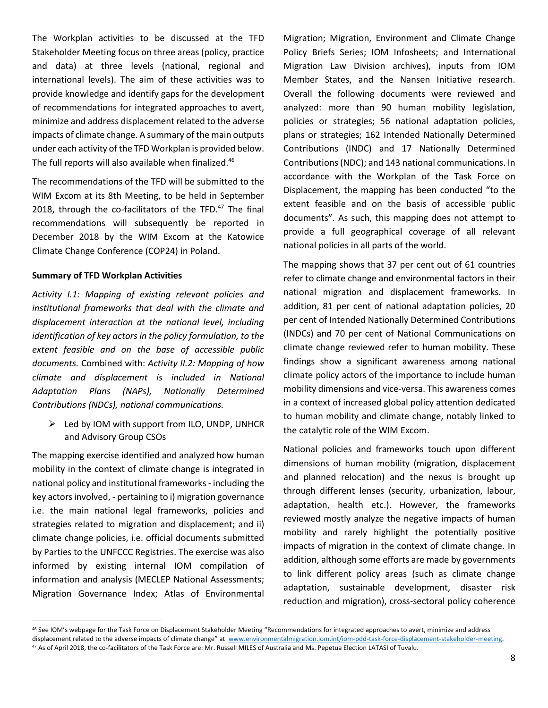The Workplan activities to be discussed at the TFD Stakeholder Meeting focus on three areas (policy, practice and data) at three levels (national, regional and international levels). The aim of these activities was to provide knowledge and identify gaps for the development of recommendations for integrated approaches to avert, minimize and address displacement related to the adverse impacts of climate change. A summary of the main outputs under each activity of the TFD Workplan is provided below. The full reports will also available when finalized.<sup>46</sup>

The recommendations of the TFD will be submitted to the WIM Excom at its 8th Meeting, to be held in September 2018, through the co-facilitators of the TFD.<sup>47</sup> The final recommendations will subsequently be reported in December 2018 by the WIM Excom at the Katowice Climate Change Conference (COP24) in Poland.

## **Summary of TFD Workplan Activities**

*Activity I.1: Mapping of existing relevant policies and institutional frameworks that deal with the climate and displacement interaction at the national level, including identification of key actors in the policy formulation, to the extent feasible and on the base of accessible public documents.* Combined with: *Activity II.2: Mapping of how climate and displacement is included in National Adaptation Plans (NAPs), Nationally Determined Contributions (NDCs), national communications.*

➢ Led by IOM with support from ILO, UNDP, UNHCR and Advisory Group CSOs

The mapping exercise identified and analyzed how human mobility in the context of climate change is integrated in national policy and institutional frameworks - including the key actors involved, - pertaining to i) migration governance i.e. the main national legal frameworks, policies and strategies related to migration and displacement; and ii) climate change policies, i.e. official documents submitted by Parties to the UNFCCC Registries. The exercise was also informed by existing internal IOM compilation of information and analysis (MECLEP National Assessments; Migration Governance Index; Atlas of Environmental

 $\overline{\phantom{a}}$ 

Migration; Migration, Environment and Climate Change Policy Briefs Series; IOM Infosheets; and International Migration Law Division archives), inputs from IOM Member States, and the Nansen Initiative research. Overall the following documents were reviewed and analyzed: more than 90 human mobility legislation, policies or strategies; 56 national adaptation policies, plans or strategies; 162 Intended Nationally Determined Contributions (INDC) and 17 Nationally Determined Contributions (NDC); and 143 national communications. In accordance with the Workplan of the Task Force on Displacement, the mapping has been conducted "to the extent feasible and on the basis of accessible public documents". As such, this mapping does not attempt to provide a full geographical coverage of all relevant national policies in all parts of the world.

The mapping shows that 37 per cent out of 61 countries refer to climate change and environmental factors in their national migration and displacement frameworks. In addition, 81 per cent of national adaptation policies, 20 per cent of Intended Nationally Determined Contributions (INDCs) and 70 per cent of National Communications on climate change reviewed refer to human mobility. These findings show a significant awareness among national climate policy actors of the importance to include human mobility dimensions and vice-versa. This awareness comes in a context of increased global policy attention dedicated to human mobility and climate change, notably linked to the catalytic role of the WIM Excom.

National policies and frameworks touch upon different dimensions of human mobility (migration, displacement and planned relocation) and the nexus is brought up through different lenses (security, urbanization, labour, adaptation, health etc.). However, the frameworks reviewed mostly analyze the negative impacts of human mobility and rarely highlight the potentially positive impacts of migration in the context of climate change. In addition, although some efforts are made by governments to link different policy areas (such as climate change adaptation, sustainable development, disaster risk reduction and migration), cross-sectoral policy coherence

<sup>46</sup> See IOM's webpage for the Task Force on Displacement Stakeholder Meeting "Recommendations for integrated approaches to avert, minimize and address displacement related to the adverse impacts of climate change" at [www.environmentalmigration.iom.int/iom-pdd-task-force-displacement-stakeholder-meeting.](http://www.environmentalmigration.iom.int/iom-pdd-task-force-displacement-stakeholder-meeting) <sup>47</sup> As of April 2018, the co-facilitators of the Task Force are: Mr. Russell MILES of Australia and Ms. Pepetua Election LATASI of Tuvalu.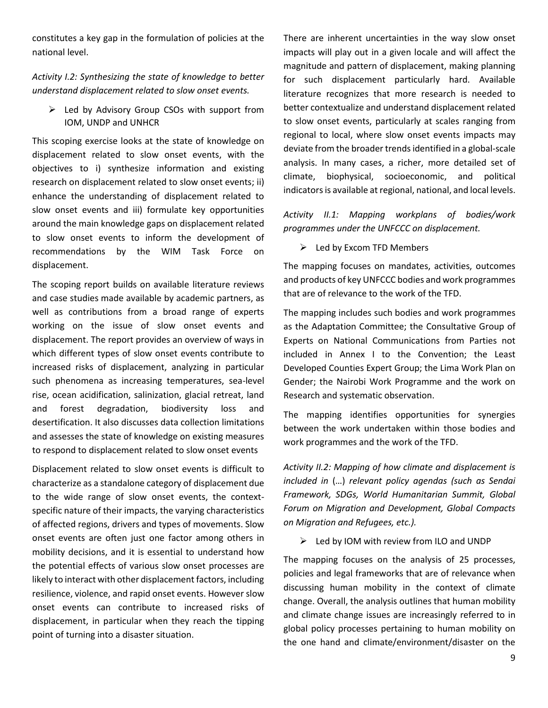constitutes a key gap in the formulation of policies at the national level.

*Activity I.2: Synthesizing the state of knowledge to better understand displacement related to slow onset events.*

➢ Led by Advisory Group CSOs with support from IOM, UNDP and UNHCR

This scoping exercise looks at the state of knowledge on displacement related to slow onset events, with the objectives to i) synthesize information and existing research on displacement related to slow onset events; ii) enhance the understanding of displacement related to slow onset events and iii) formulate key opportunities around the main knowledge gaps on displacement related to slow onset events to inform the development of recommendations by the WIM Task Force on displacement.

The scoping report builds on available literature reviews and case studies made available by academic partners, as well as contributions from a broad range of experts working on the issue of slow onset events and displacement. The report provides an overview of ways in which different types of slow onset events contribute to increased risks of displacement, analyzing in particular such phenomena as increasing temperatures, sea-level rise, ocean acidification, salinization, glacial retreat, land and forest degradation, biodiversity loss and desertification. It also discusses data collection limitations and assesses the state of knowledge on existing measures to respond to displacement related to slow onset events

Displacement related to slow onset events is difficult to characterize as a standalone category of displacement due to the wide range of slow onset events, the contextspecific nature of their impacts, the varying characteristics of affected regions, drivers and types of movements. Slow onset events are often just one factor among others in mobility decisions, and it is essential to understand how the potential effects of various slow onset processes are likely to interact with other displacement factors, including resilience, violence, and rapid onset events. However slow onset events can contribute to increased risks of displacement, in particular when they reach the tipping point of turning into a disaster situation.

There are inherent uncertainties in the way slow onset impacts will play out in a given locale and will affect the magnitude and pattern of displacement, making planning for such displacement particularly hard. Available literature recognizes that more research is needed to better contextualize and understand displacement related to slow onset events, particularly at scales ranging from regional to local, where slow onset events impacts may deviate from the broader trends identified in a global-scale analysis. In many cases, a richer, more detailed set of climate, biophysical, socioeconomic, and political indicators is available at regional, national, and local levels.

*Activity II.1: Mapping workplans of bodies/work programmes under the UNFCCC on displacement.*

➢ Led by Excom TFD Members

The mapping focuses on mandates, activities, outcomes and products of key UNFCCC bodies and work programmes that are of relevance to the work of the TFD.

The mapping includes such bodies and work programmes as the Adaptation Committee; the Consultative Group of Experts on National Communications from Parties not included in Annex I to the Convention; the Least Developed Counties Expert Group; the Lima Work Plan on Gender; the Nairobi Work Programme and the work on Research and systematic observation.

The mapping identifies opportunities for synergies between the work undertaken within those bodies and work programmes and the work of the TFD.

*Activity II.2: Mapping of how climate and displacement is included in* (…) *relevant policy agendas (such as Sendai Framework, SDGs, World Humanitarian Summit, Global Forum on Migration and Development, Global Compacts on Migration and Refugees, etc.).*

➢ Led by IOM with review from ILO and UNDP

The mapping focuses on the analysis of 25 processes, policies and legal frameworks that are of relevance when discussing human mobility in the context of climate change. Overall, the analysis outlines that human mobility and climate change issues are increasingly referred to in global policy processes pertaining to human mobility on the one hand and climate/environment/disaster on the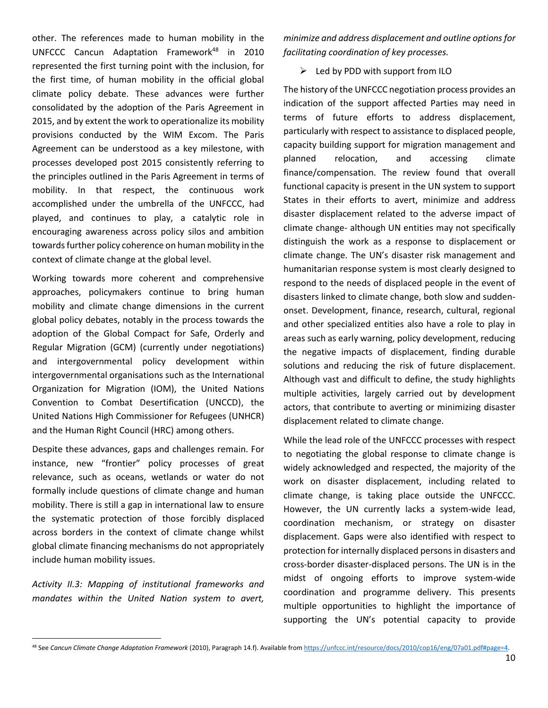other. The references made to human mobility in the UNFCCC Cancun Adaptation Framework<sup>48</sup> in 2010 represented the first turning point with the inclusion, for the first time, of human mobility in the official global climate policy debate. These advances were further consolidated by the adoption of the Paris Agreement in 2015, and by extent the work to operationalize its mobility provisions conducted by the WIM Excom. The Paris Agreement can be understood as a key milestone, with processes developed post 2015 consistently referring to the principles outlined in the Paris Agreement in terms of mobility. In that respect, the continuous work accomplished under the umbrella of the UNFCCC, had played, and continues to play, a catalytic role in encouraging awareness across policy silos and ambition towards further policy coherence on human mobility in the context of climate change at the global level.

Working towards more coherent and comprehensive approaches, policymakers continue to bring human mobility and climate change dimensions in the current global policy debates, notably in the process towards the adoption of the Global Compact for Safe, Orderly and Regular Migration (GCM) (currently under negotiations) and intergovernmental policy development within intergovernmental organisations such as the International Organization for Migration (IOM), the United Nations Convention to Combat Desertification (UNCCD), the United Nations High Commissioner for Refugees (UNHCR) and the Human Right Council (HRC) among others.

Despite these advances, gaps and challenges remain. For instance, new "frontier" policy processes of great relevance, such as oceans, wetlands or water do not formally include questions of climate change and human mobility. There is still a gap in international law to ensure the systematic protection of those forcibly displaced across borders in the context of climate change whilst global climate financing mechanisms do not appropriately include human mobility issues.

*Activity II.3: Mapping of institutional frameworks and mandates within the United Nation system to avert,* 

 $\overline{a}$ 

*minimize and address displacement and outline options for facilitating coordination of key processes.*

 $\triangleright$  Led by PDD with support from ILO

The history of the UNFCCC negotiation process provides an indication of the support affected Parties may need in terms of future efforts to address displacement, particularly with respect to assistance to displaced people, capacity building support for migration management and planned relocation, and accessing climate finance/compensation. The review found that overall functional capacity is present in the UN system to support States in their efforts to avert, minimize and address disaster displacement related to the adverse impact of climate change- although UN entities may not specifically distinguish the work as a response to displacement or climate change. The UN's disaster risk management and humanitarian response system is most clearly designed to respond to the needs of displaced people in the event of disasters linked to climate change, both slow and suddenonset. Development, finance, research, cultural, regional and other specialized entities also have a role to play in areas such as early warning, policy development, reducing the negative impacts of displacement, finding durable solutions and reducing the risk of future displacement. Although vast and difficult to define, the study highlights multiple activities, largely carried out by development actors, that contribute to averting or minimizing disaster displacement related to climate change.

While the lead role of the UNFCCC processes with respect to negotiating the global response to climate change is widely acknowledged and respected, the majority of the work on disaster displacement, including related to climate change, is taking place outside the UNFCCC. However, the UN currently lacks a system-wide lead, coordination mechanism, or strategy on disaster displacement. Gaps were also identified with respect to protection for internally displaced persons in disasters and cross-border disaster-displaced persons. The UN is in the midst of ongoing efforts to improve system-wide coordination and programme delivery. This presents multiple opportunities to highlight the importance of supporting the UN's potential capacity to provide

<sup>48</sup> See *Cancun Climate Change Adaptation Framework* (2010), Paragraph 14.f). Available fro[m https://unfccc.int/resource/docs/2010/cop16/eng/07a01.pdf#page=4.](https://unfccc.int/resource/docs/2010/cop16/eng/07a01.pdf#page=4)